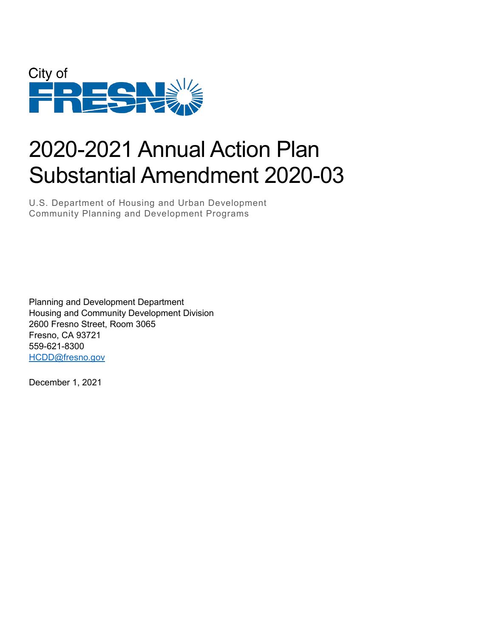

# 2020-2021 Annual Action Plan Substantial Amendment 2020-03

U.S. Department of Housing and Urban Development Community Planning and Development Programs

Planning and Development Department Housing and Community Development Division 2600 Fresno Street, Room 3065 Fresno, CA 93721 559-621-8300 [HCDD@fresno.gov](mailto:HCDD@fresno.gov)

December 1, 2021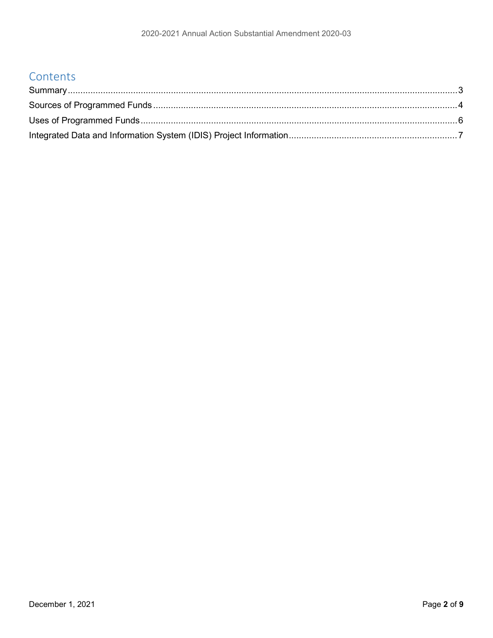### Contents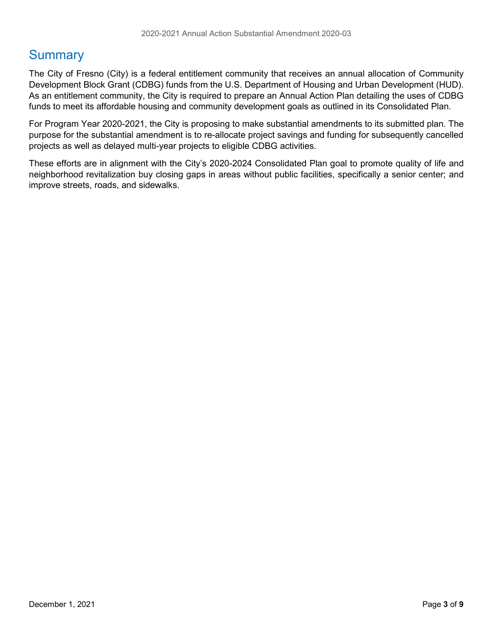### <span id="page-2-0"></span>**Summary**

The City of Fresno (City) is a federal entitlement community that receives an annual allocation of Community Development Block Grant (CDBG) funds from the U.S. Department of Housing and Urban Development (HUD). As an entitlement community, the City is required to prepare an Annual Action Plan detailing the uses of CDBG funds to meet its affordable housing and community development goals as outlined in its Consolidated Plan.

For Program Year 2020-2021, the City is proposing to make substantial amendments to its submitted plan. The purpose for the substantial amendment is to re-allocate project savings and funding for subsequently cancelled projects as well as delayed multi-year projects to eligible CDBG activities.

These efforts are in alignment with the City's 2020-2024 Consolidated Plan goal to promote quality of life and neighborhood revitalization buy closing gaps in areas without public facilities, specifically a senior center; and improve streets, roads, and sidewalks.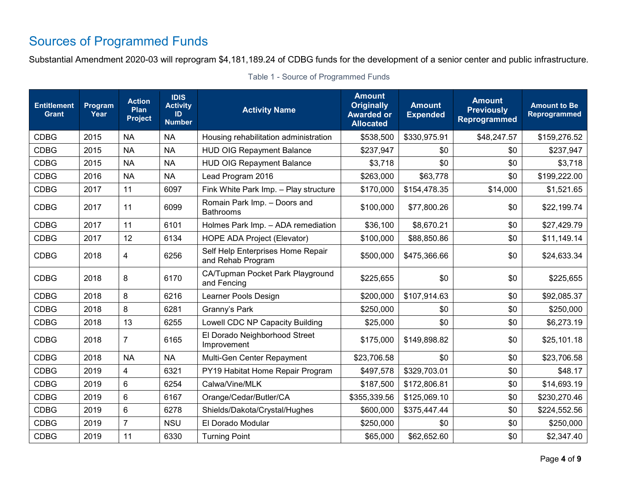# Sources of Programmed Funds

Substantial Amendment 2020-03 will reprogram \$4,181,189.24 of CDBG funds for the development of a senior center and public infrastructure.

<span id="page-3-0"></span>

| <b>Entitlement</b><br><b>Grant</b> | Program<br>Year | <b>Action</b><br>Plan<br><b>Project</b> | <b>IDIS</b><br><b>Activity</b><br>ID<br><b>Number</b> | <b>Activity Name</b>                                   | <b>Amount</b><br><b>Originally</b><br><b>Awarded or</b><br><b>Allocated</b> | <b>Amount</b><br><b>Expended</b> | <b>Amount</b><br><b>Previously</b><br>Reprogrammed | <b>Amount to Be</b><br><b>Reprogrammed</b> |
|------------------------------------|-----------------|-----------------------------------------|-------------------------------------------------------|--------------------------------------------------------|-----------------------------------------------------------------------------|----------------------------------|----------------------------------------------------|--------------------------------------------|
| <b>CDBG</b>                        | 2015            | <b>NA</b>                               | <b>NA</b>                                             | Housing rehabilitation administration                  | \$538,500                                                                   | \$330,975.91                     | \$48,247.57                                        | \$159,276.52                               |
| <b>CDBG</b>                        | 2015            | <b>NA</b>                               | <b>NA</b>                                             | <b>HUD OIG Repayment Balance</b>                       | \$237,947                                                                   | \$0                              | \$0                                                | \$237,947                                  |
| <b>CDBG</b>                        | 2015            | <b>NA</b>                               | <b>NA</b>                                             | <b>HUD OIG Repayment Balance</b>                       | \$3,718                                                                     | \$0                              | \$0                                                | \$3,718                                    |
| <b>CDBG</b>                        | 2016            | <b>NA</b>                               | <b>NA</b>                                             | Lead Program 2016                                      | \$263,000                                                                   | \$63,778                         | \$0                                                | \$199,222.00                               |
| <b>CDBG</b>                        | 2017            | 11                                      | 6097                                                  | Fink White Park Imp. - Play structure                  | \$170,000                                                                   | \$154,478.35                     | \$14,000                                           | \$1,521.65                                 |
| <b>CDBG</b>                        | 2017            | 11                                      | 6099                                                  | Romain Park Imp. - Doors and<br><b>Bathrooms</b>       | \$100,000                                                                   | \$77,800.26                      | \$0                                                | \$22,199.74                                |
| <b>CDBG</b>                        | 2017            | 11                                      | 6101                                                  | Holmes Park Imp. - ADA remediation                     | \$36,100                                                                    | \$8,670.21                       | \$0                                                | \$27,429.79                                |
| <b>CDBG</b>                        | 2017            | 12                                      | 6134                                                  | <b>HOPE ADA Project (Elevator)</b>                     | \$100,000                                                                   | \$88,850.86                      | \$0                                                | \$11,149.14                                |
| <b>CDBG</b>                        | 2018            | 4                                       | 6256                                                  | Self Help Enterprises Home Repair<br>and Rehab Program | \$500,000                                                                   | \$475,366.66                     | \$0                                                | \$24,633.34                                |
| <b>CDBG</b>                        | 2018            | 8                                       | 6170                                                  | CA/Tupman Pocket Park Playground<br>and Fencing        | \$225,655                                                                   | \$0                              | \$0                                                | \$225,655                                  |
| <b>CDBG</b>                        | 2018            | 8                                       | 6216                                                  | Learner Pools Design                                   | \$200,000                                                                   | \$107,914.63                     | \$0                                                | \$92,085.37                                |
| <b>CDBG</b>                        | 2018            | 8                                       | 6281                                                  | Granny's Park                                          | \$250,000                                                                   | \$0                              | \$0                                                | \$250,000                                  |
| <b>CDBG</b>                        | 2018            | 13                                      | 6255                                                  | Lowell CDC NP Capacity Building                        | \$25,000                                                                    | \$0                              | \$0                                                | \$6,273.19                                 |
| <b>CDBG</b>                        | 2018            | $\overline{7}$                          | 6165                                                  | El Dorado Neighborhood Street<br>Improvement           | \$175,000                                                                   | \$149,898.82                     | \$0                                                | \$25,101.18                                |
| <b>CDBG</b>                        | 2018            | <b>NA</b>                               | <b>NA</b>                                             | Multi-Gen Center Repayment                             | \$23,706.58                                                                 | \$0                              | \$0                                                | \$23,706.58                                |
| <b>CDBG</b>                        | 2019            | $\overline{\mathbf{4}}$                 | 6321                                                  | PY19 Habitat Home Repair Program                       | \$497,578                                                                   | \$329,703.01                     | \$0                                                | \$48.17                                    |
| <b>CDBG</b>                        | 2019            | $6\phantom{1}$                          | 6254                                                  | Calwa/Vine/MLK                                         | \$187,500                                                                   | \$172,806.81                     | \$0                                                | \$14,693.19                                |
| <b>CDBG</b>                        | 2019            | $6\phantom{1}$                          | 6167                                                  | Orange/Cedar/Butler/CA                                 | \$355,339.56                                                                | \$125,069.10                     | \$0                                                | \$230,270.46                               |
| <b>CDBG</b>                        | 2019            | $6\phantom{1}$                          | 6278                                                  | Shields/Dakota/Crystal/Hughes                          | \$600,000                                                                   | \$375,447.44                     | \$0                                                | \$224,552.56                               |
| <b>CDBG</b>                        | 2019            | $\overline{7}$                          | <b>NSU</b>                                            | El Dorado Modular                                      | \$250,000                                                                   | \$0                              | \$0                                                | \$250,000                                  |
| <b>CDBG</b>                        | 2019            | 11                                      | 6330                                                  | <b>Turning Point</b>                                   | \$65,000                                                                    | \$62,652.60                      | \$0                                                | \$2,347.40                                 |

Table 1 - Source of Programmed Funds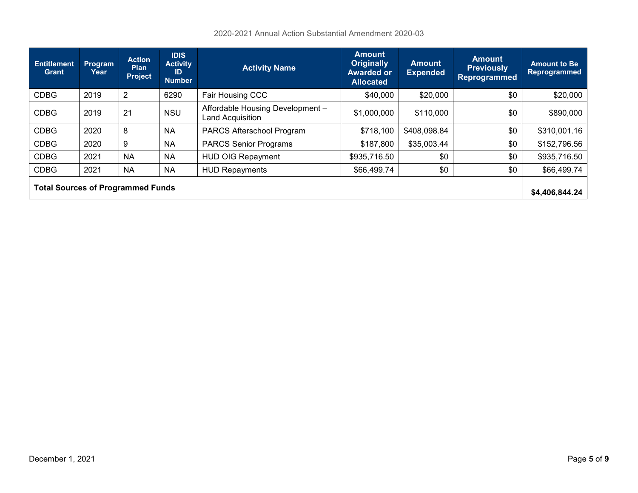2020-2021 Annual Action Substantial Amendment 2020-03

| <b>Entitlement</b><br>Grant              | <b>Program</b><br>Year | <b>Action</b><br><b>Plan</b><br><b>Project</b> | <b>IDIS</b><br><b>Activity</b><br>ID<br><b>Number</b> | <b>Activity Name</b>                                                             | Amount<br><b>Originally</b><br><b>Awarded or</b><br><b>Allocated</b> | <b>Amount</b><br><b>Expended</b> | <b>Amount</b><br><b>Previously</b><br><b>Reprogrammed</b> | <b>Amount to Be</b><br><b>Reprogrammed</b> |
|------------------------------------------|------------------------|------------------------------------------------|-------------------------------------------------------|----------------------------------------------------------------------------------|----------------------------------------------------------------------|----------------------------------|-----------------------------------------------------------|--------------------------------------------|
| <b>CDBG</b>                              | 2019                   | $\overline{2}$                                 | 6290                                                  | Fair Housing CCC                                                                 | \$40,000                                                             | \$20,000                         | \$0                                                       | \$20,000                                   |
| <b>CDBG</b>                              | 2019                   | 21                                             | <b>NSU</b>                                            | Affordable Housing Development -<br>\$1,000,000<br>\$110,000<br>Land Acquisition |                                                                      | \$0                              | \$890,000                                                 |                                            |
| <b>CDBG</b>                              | 2020                   | 8                                              | <b>NA</b>                                             | PARCS Afterschool Program                                                        | \$718,100                                                            | \$408,098.84                     | \$0                                                       | \$310,001.16                               |
| <b>CDBG</b>                              | 2020                   | 9                                              | <b>NA</b>                                             | <b>PARCS Senior Programs</b><br>\$187,800<br>\$35,003.44                         |                                                                      | \$0                              | \$152,796.56                                              |                                            |
| <b>CDBG</b>                              | 2021                   | <b>NA</b>                                      | <b>NA</b>                                             | <b>HUD OIG Repayment</b>                                                         | \$935,716.50<br>\$0                                                  |                                  | \$0                                                       | \$935,716.50                               |
| <b>CDBG</b>                              | 2021                   | <b>NA</b>                                      | <b>NA</b>                                             | \$0<br>\$0<br>\$66,499.74<br><b>HUD Repayments</b>                               |                                                                      | \$66,499.74                      |                                                           |                                            |
| <b>Total Sources of Programmed Funds</b> |                        |                                                |                                                       |                                                                                  |                                                                      | \$4,406,844.24                   |                                                           |                                            |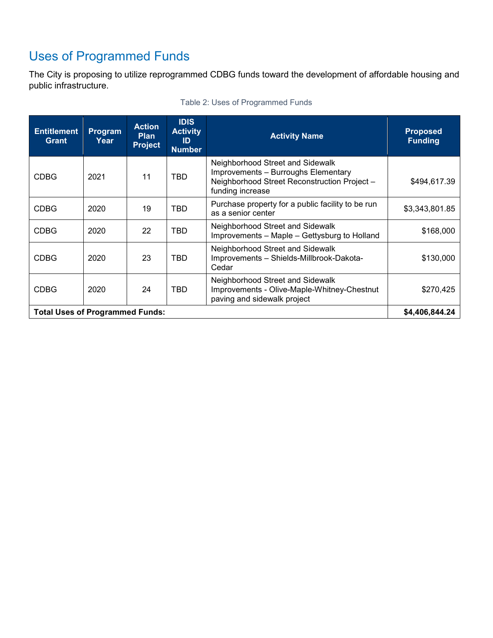# <span id="page-5-0"></span>Uses of Programmed Funds

The City is proposing to utilize reprogrammed CDBG funds toward the development of affordable housing and public infrastructure.

| <b>Entitlement</b><br><b>Grant</b>     | Program<br>Year | <b>Action</b><br><b>Plan</b><br><b>Project</b> | <b>IDIS</b><br><b>Activity</b><br>ID<br><b>Number</b> | <b>Activity Name</b>                                                                                                                       | <b>Proposed</b><br><b>Funding</b> |
|----------------------------------------|-----------------|------------------------------------------------|-------------------------------------------------------|--------------------------------------------------------------------------------------------------------------------------------------------|-----------------------------------|
| <b>CDBG</b>                            | 2021            | 11                                             | TBD                                                   | Neighborhood Street and Sidewalk<br>Improvements - Burroughs Elementary<br>Neighborhood Street Reconstruction Project-<br>funding increase | \$494,617.39                      |
| <b>CDBG</b>                            | 2020            | 19                                             | TBD                                                   | Purchase property for a public facility to be run<br>as a senior center                                                                    | \$3,343,801.85                    |
| <b>CDBG</b>                            | 2020            | 22                                             | TBD                                                   | Neighborhood Street and Sidewalk<br>Improvements - Maple - Gettysburg to Holland                                                           | \$168,000                         |
| <b>CDBG</b>                            | 2020            | 23                                             | TBD                                                   | Neighborhood Street and Sidewalk<br>Improvements - Shields-Millbrook-Dakota-<br>Cedar                                                      | \$130,000                         |
| <b>CDBG</b>                            | 2020            | 24                                             | <b>TBD</b>                                            | Neighborhood Street and Sidewalk<br>Improvements - Olive-Maple-Whitney-Chestnut<br>paving and sidewalk project                             | \$270,425                         |
| <b>Total Uses of Programmed Funds:</b> |                 |                                                | \$4,406,844.24                                        |                                                                                                                                            |                                   |

#### Table 2: Uses of Programmed Funds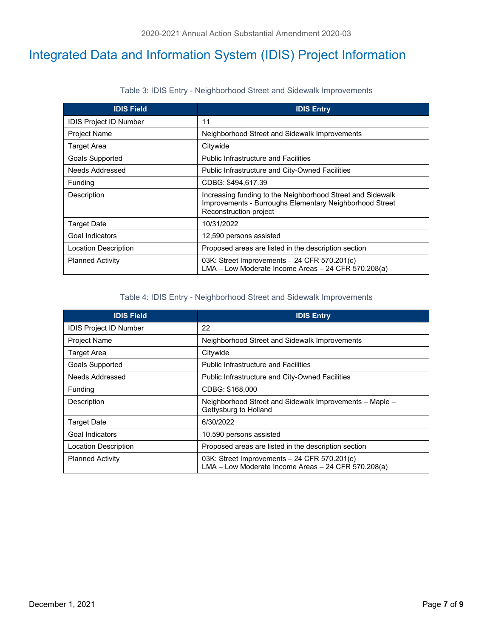## <span id="page-6-0"></span>Integrated Data and Information System (IDIS) Project Information

|  |  | Table 3: IDIS Entry - Neighborhood Street and Sidewalk Improvements |  |
|--|--|---------------------------------------------------------------------|--|
|--|--|---------------------------------------------------------------------|--|

| <b>IDIS Field</b>             | <b>IDIS Entry</b>                                                                                                                               |
|-------------------------------|-------------------------------------------------------------------------------------------------------------------------------------------------|
| <b>IDIS Project ID Number</b> | 11                                                                                                                                              |
| Project Name                  | Neighborhood Street and Sidewalk Improvements                                                                                                   |
| Target Area                   | Citywide                                                                                                                                        |
| Goals Supported               | <b>Public Infrastructure and Facilities</b>                                                                                                     |
| Needs Addressed               | Public Infrastructure and City-Owned Facilities                                                                                                 |
| <b>Funding</b>                | CDBG: \$494,617.39                                                                                                                              |
| Description                   | Increasing funding to the Neighborhood Street and Sidewalk<br>Improvements - Burroughs Elementary Neighborhood Street<br>Reconstruction project |
| <b>Target Date</b>            | 10/31/2022                                                                                                                                      |
| Goal Indicators               | 12,590 persons assisted                                                                                                                         |
| Location Description          | Proposed areas are listed in the description section                                                                                            |
| <b>Planned Activity</b>       | 03K: Street Improvements $-24$ CFR 570.201(c)<br>LMA - Low Moderate Income Areas - 24 CFR 570.208(a)                                            |

#### Table 4: IDIS Entry - Neighborhood Street and Sidewalk Improvements

| <b>IDIS Field</b>             | <b>IDIS Entry</b>                                                                                    |
|-------------------------------|------------------------------------------------------------------------------------------------------|
| <b>IDIS Project ID Number</b> | 22                                                                                                   |
| <b>Project Name</b>           | Neighborhood Street and Sidewalk Improvements                                                        |
| Target Area                   | Citywide                                                                                             |
| <b>Goals Supported</b>        | <b>Public Infrastructure and Facilities</b>                                                          |
| Needs Addressed               | <b>Public Infrastructure and City-Owned Facilities</b>                                               |
| <b>Funding</b>                | CDBG: \$168,000                                                                                      |
| Description                   | Neighborhood Street and Sidewalk Improvements - Maple -<br>Gettysburg to Holland                     |
| <b>Target Date</b>            | 6/30/2022                                                                                            |
| Goal Indicators               | 10,590 persons assisted                                                                              |
| Location Description          | Proposed areas are listed in the description section                                                 |
| <b>Planned Activity</b>       | 03K: Street Improvements $-24$ CFR 570.201(c)<br>LMA - Low Moderate Income Areas - 24 CFR 570.208(a) |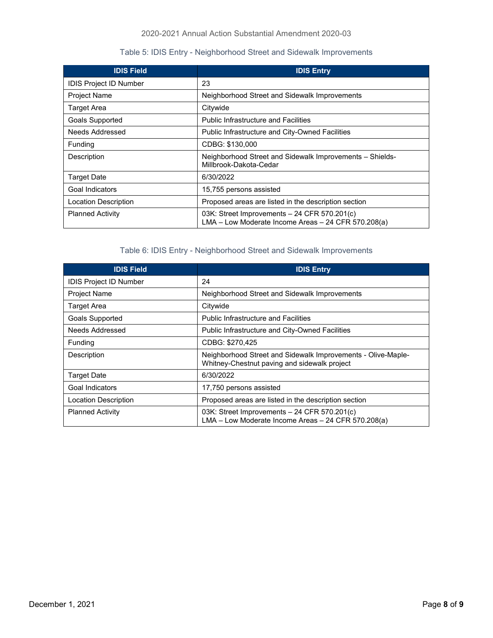#### 2020-2021 Annual Action Substantial Amendment 2020-03

#### Table 5: IDIS Entry - Neighborhood Street and Sidewalk Improvements

| <b>IDIS Field</b>             | <b>IDIS Entry</b>                                                                                    |
|-------------------------------|------------------------------------------------------------------------------------------------------|
| <b>IDIS Project ID Number</b> | 23                                                                                                   |
| <b>Project Name</b>           | Neighborhood Street and Sidewalk Improvements                                                        |
| <b>Target Area</b>            | Citywide                                                                                             |
| Goals Supported               | <b>Public Infrastructure and Facilities</b>                                                          |
| Needs Addressed               | <b>Public Infrastructure and City-Owned Facilities</b>                                               |
| Funding                       | CDBG: \$130,000                                                                                      |
| Description                   | Neighborhood Street and Sidewalk Improvements - Shields-<br>Millbrook-Dakota-Cedar                   |
| <b>Target Date</b>            | 6/30/2022                                                                                            |
| Goal Indicators               | 15,755 persons assisted                                                                              |
| <b>Location Description</b>   | Proposed areas are listed in the description section                                                 |
| <b>Planned Activity</b>       | 03K: Street Improvements $-24$ CFR 570.201(c)<br>LMA - Low Moderate Income Areas - 24 CFR 570.208(a) |

### Table 6: IDIS Entry - Neighborhood Street and Sidewalk Improvements

| <b>IDIS Field</b>           | <b>IDIS Entry</b>                                                                                            |
|-----------------------------|--------------------------------------------------------------------------------------------------------------|
| IDIS Project ID Number      | 24                                                                                                           |
| <b>Project Name</b>         | Neighborhood Street and Sidewalk Improvements                                                                |
| <b>Target Area</b>          | Citywide                                                                                                     |
| <b>Goals Supported</b>      | <b>Public Infrastructure and Facilities</b>                                                                  |
| Needs Addressed             | Public Infrastructure and City-Owned Facilities                                                              |
| Funding                     | CDBG: \$270,425                                                                                              |
| Description                 | Neighborhood Street and Sidewalk Improvements - Olive-Maple-<br>Whitney-Chestnut paving and sidewalk project |
| <b>Target Date</b>          | 6/30/2022                                                                                                    |
| Goal Indicators             | 17,750 persons assisted                                                                                      |
| <b>Location Description</b> | Proposed areas are listed in the description section                                                         |
| <b>Planned Activity</b>     | 03K: Street Improvements $-24$ CFR 570.201(c)<br>LMA - Low Moderate Income Areas - 24 CFR 570.208(a)         |